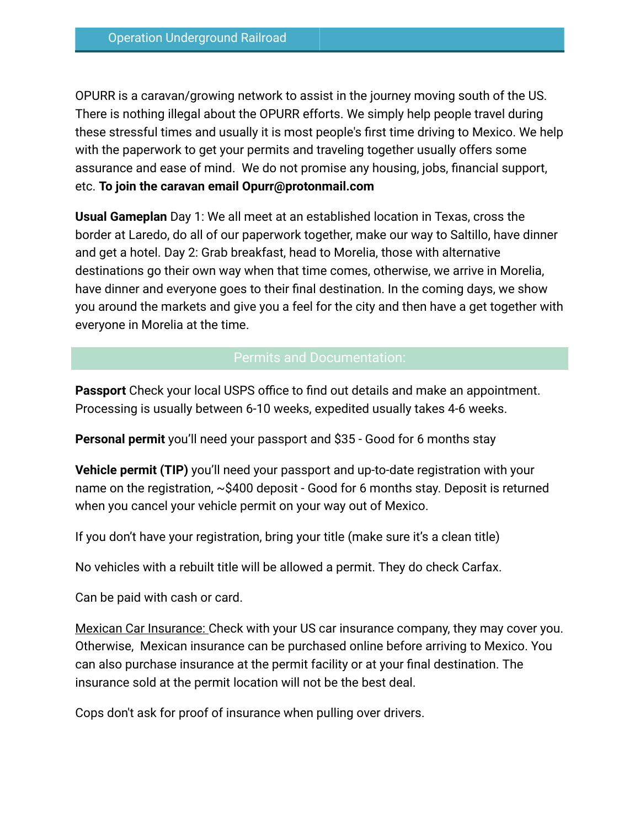OPURR is a caravan/growing network to assist in the journey moving south of the US. There is nothing illegal about the OPURR efforts. We simply help people travel during these stressful times and usually it is most people's first time driving to Mexico. We help with the paperwork to get your permits and traveling together usually offers some assurance and ease of mind. We do not promise any housing, jobs, financial support, etc. **To join the caravan email Opurr@protonmail.com**

**Usual Gameplan** Day 1: We all meet at an established location in Texas, cross the border at Laredo, do all of our paperwork together, make our way to Saltillo, have dinner and get a hotel. Day 2: Grab breakfast, head to Morelia, those with alternative destinations go their own way when that time comes, otherwise, we arrive in Morelia, have dinner and everyone goes to their final destination. In the coming days, we show you around the markets and give you a feel for the city and then have a get together with everyone in Morelia at the time.

# Permits and Documentation:

**Passport** Check your local USPS office to find out details and make an appointment. Processing is usually between 6-10 weeks, expedited usually takes 4-6 weeks.

**Personal permit** you'll need your passport and \$35 - Good for 6 months stay

**Vehicle permit (TIP)** you'll need your passport and up-to-date registration with your name on the registration, ~\$400 deposit - Good for 6 months stay. Deposit is returned when you cancel your vehicle permit on your way out of Mexico.

If you don't have your registration, bring your title (make sure it's a clean title)

No vehicles with a rebuilt title will be allowed a permit. They do check Carfax.

Can be paid with cash or card.

Mexican Car Insurance: Check with your US car insurance company, they may cover you. Otherwise, Mexican insurance can be purchased online before arriving to Mexico. You can also purchase insurance at the permit facility or at your final destination. The insurance sold at the permit location will not be the best deal.

Cops don't ask for proof of insurance when pulling over drivers.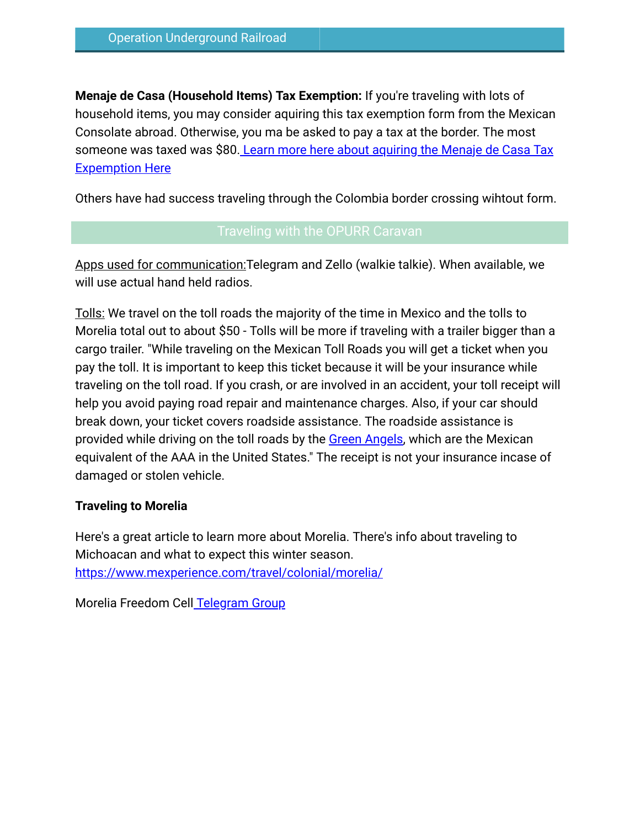**Menaje de Casa (Household Items) Tax Exemption:** If you're traveling with lots of household items, you may consider aquiring this tax exemption form from the Mexican Consolate abroad. Otherwise, you ma be asked to pay a tax at the border. The most someone was taxed was \$80. [Learn more here about aquiring the Menaje de Casa Tax](https://www.mexperience.com/menaje-de-casa-importing-personal-goods-to-mexico/) [Expemption Here](https://www.mexperience.com/menaje-de-casa-importing-personal-goods-to-mexico/)

Others have had success traveling through the Colombia border crossing wihtout form.

Apps used for communication:Telegram and Zello (walkie talkie). When available, we will use actual hand held radios.

Tolls: We travel on the toll roads the majority of the time in Mexico and the tolls to Morelia total out to about \$50 - Tolls will be more if traveling with a trailer bigger than a cargo trailer. "While traveling on the Mexican Toll Roads you will get a ticket when you pay the toll. It is important to keep this ticket because it will be your insurance while traveling on the toll road. If you crash, or are involved in an accident, your toll receipt will help you avoid paying road repair and maintenance charges. Also, if your car should break down, your ticket covers roadside assistance. The roadside assistance is provided while driving on the toll roads by the [Green Angels,](https://www.mexbound.com/green-angels/) which are the Mexican equivalent of the AAA in the United States." The receipt is not your insurance incase of damaged or stolen vehicle.

## **Traveling to Morelia**

Here's a great article to learn more about Morelia. There's info about traveling to Michoacan and what to expect this winter season. <https://www.mexperience.com/travel/colonial/morelia/>

Morelia Freedom Cel[l Telegram Group](https://t.me/moreliapublic)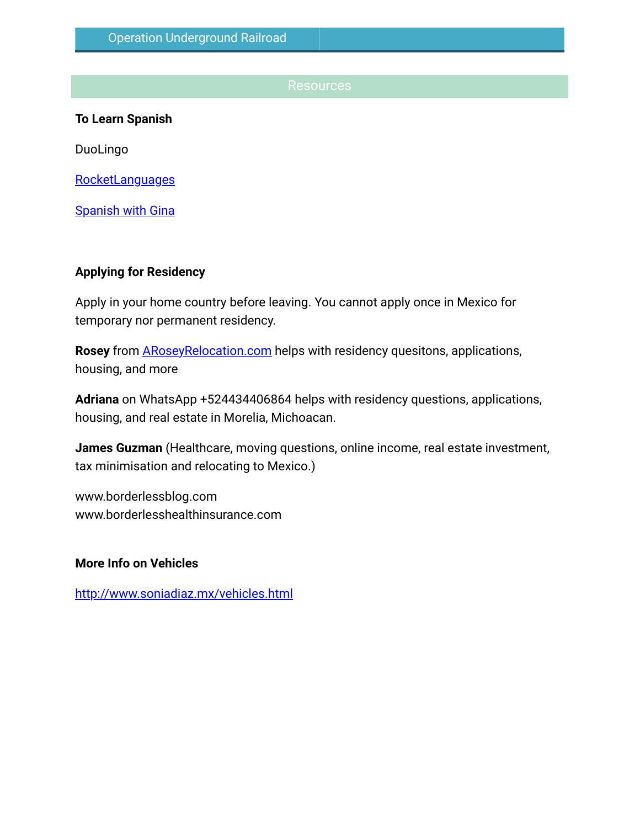#### Resources

**To Learn Spanish**

DuoLingo

[RocketLanguages](https://www.rocketlanguages.com/spanish)

**[Spanish with Gina](https://t.me/joinchat/1qKX2cLT_bM1N2Nh)** 

#### **Applying for Residency**

Apply in your home country before leaving. You cannot apply once in Mexico for temporary nor permanent residency.

**Rosey** from [ARoseyRelocation.com](http://aroseyrelocation.com/) helps with residency quesitons, applications, housing, and more

**Adriana** on WhatsApp +524434406864 helps with residency questions, applications, housing, and real estate in Morelia, Michoacan.

**James Guzman** (Healthcare, moving questions, online income, real estate investment, tax minimisation and relocating to Mexico.)

www.borderlessblog.com www.borderlesshealthinsurance.com

#### **More Info on Vehicles**

<http://www.soniadiaz.mx/vehicles.html>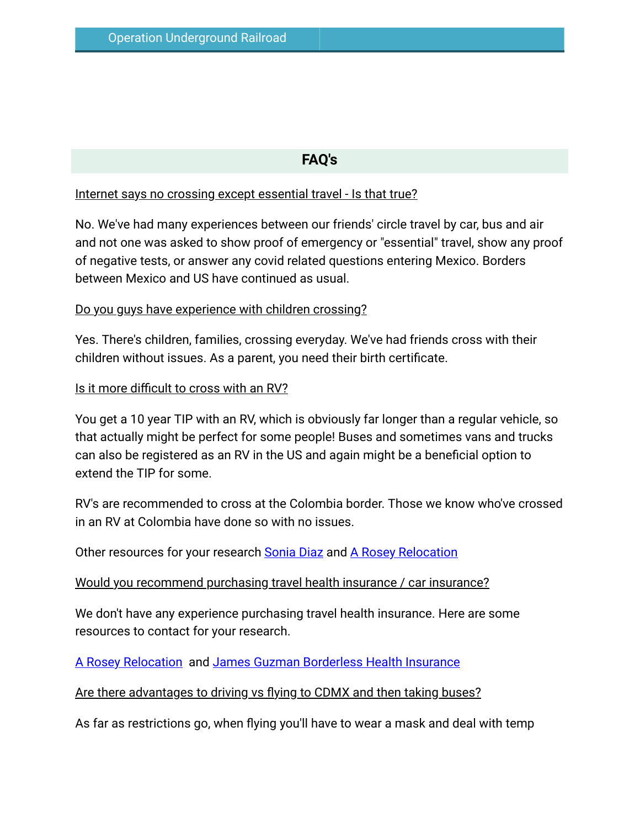# **FAQ's**

## Internet says no crossing except essential travel - Is that true?

No. We've had many experiences between our friends' circle travel by car, bus and air and not one was asked to show proof of emergency or "essential" travel, show any proof of negative tests, or answer any covid related questions entering Mexico. Borders between Mexico and US have continued as usual.

# Do you guys have experience with children crossing?

Yes. There's children, families, crossing everyday. We've had friends cross with their children without issues. As a parent, you need their birth certificate.

## Is it more difficult to cross with an RV?

You get a 10 year TIP with an RV, which is obviously far longer than a regular vehicle, so that actually might be perfect for some people! Buses and sometimes vans and trucks can also be registered as an RV in the US and again might be a beneficial option to extend the TIP for some.

RV's are recommended to cross at the Colombia border. Those we know who've crossed in an RV at Colombia have done so with no issues.

Other resources for your research [Sonia Diaz](http://www.soniadiaz.mx/vehicles.html) and [A Rosey Relocation](http://aroseyrelocation.com/)

Would you recommend purchasing travel health insurance / car insurance?

We don't have any experience purchasing travel health insurance. Here are some resources to contact for your research.

A Rosey Relocation and [James Guzman Borderless Health Insurance](http://www.borderlesshealthinsurance.com/)

Are there advantages to driving vs flying to CDMX and then taking buses?

As far as restrictions go, when flying you'll have to wear a mask and deal with temp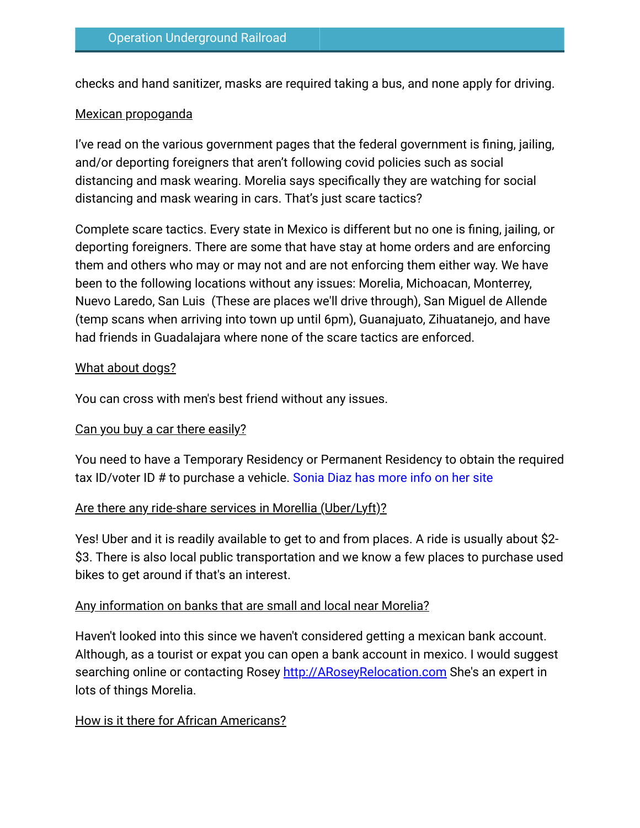checks and hand sanitizer, masks are required taking a bus, and none apply for driving.

# Mexican propoganda

I've read on the various government pages that the federal government is fining, jailing, and/or deporting foreigners that aren't following covid policies such as social distancing and mask wearing. Morelia says specifically they are watching for social distancing and mask wearing in cars. That's just scare tactics?

Complete scare tactics. Every state in Mexico is different but no one is fining, jailing, or deporting foreigners. There are some that have stay at home orders and are enforcing them and others who may or may not and are not enforcing them either way. We have been to the following locations without any issues: Morelia, Michoacan, Monterrey, Nuevo Laredo, San Luis (These are places we'll drive through), San Miguel de Allende (temp scans when arriving into town up until 6pm), Guanajuato, Zihuatanejo, and have had friends in Guadalajara where none of the scare tactics are enforced.

## What about dogs?

You can cross with men's best friend without any issues.

# Can you buy a car there easily?

You need to have a Temporary Residency or Permanent Residency to obtain the required tax ID/voter ID # to purchase a vehicle. [Sonia Diaz has more info on her site](http://www.soniadiaz.mx/vehicles.html)

# Are there any ride-share services in Morellia (Uber/Lyft)?

Yes! Uber and it is readily available to get to and from places. A ride is usually about \$2- \$3. There is also local public transportation and we know a few places to purchase used bikes to get around if that's an interest.

# Any information on banks that are small and local near Morelia?

Haven't looked into this since we haven't considered getting a mexican bank account. Although, as a tourist or expat you can open a bank account in mexico. I would suggest searching online or contacting Rosey [http://ARoseyRelocation.com](http://aroseyrelocation.com/) She's an expert in lots of things Morelia.

# How is it there for African Americans?